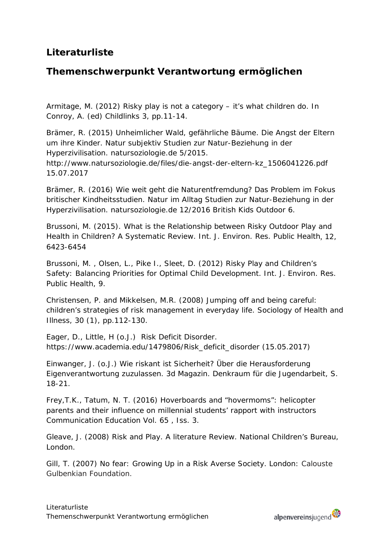# **Literaturliste**

# **Themenschwerpunkt Verantwortung ermöglichen**

Armitage, M. (2012) Risky play is not a category – it's what children do. In Conroy, A. (ed) Childlinks 3, pp.11-14.

Brämer, R. (2015) Unheimlicher Wald, gefährliche Bäume. Die Angst der Eltern um ihre Kinder. Natur subjektiv Studien zur Natur-Beziehung in der Hyperzivilisation. natursoziologie.de 5/2015.

[http://www.natursoziologie.de/files/die-angst-der-eltern-kz\\_1506041226.pdf](http://www.natursoziologie.de/files/die-angst-der-eltern-kz_1506041226.pdf) 15.07.2017

Brämer, R. (2016) Wie weit geht die Naturentfremdung? Das Problem im Fokus britischer Kindheitsstudien. Natur im Alltag Studien zur Natur-Beziehung in der Hyperzivilisation. natursoziologie.de 12/2016 British Kids Outdoor 6.

[Brussoni,](http://www.oalib.com/search?kw=Mariana%20Brussoni&searchField=authors) M. (2015). What is the Relationship between Risky Outdoor Play and Health in Children? A Systematic Review. Int. J. Environ. Res. Public Health, 12, 6423-6454

[Brussoni,](http://www.oalib.com/search?kw=Mariana%20Brussoni&searchField=authors) M. , [Olsen,](http://www.oalib.com/search?kw=Lise%20L.%20Olsen&searchField=authors) L., [Pike](http://www.oalib.com/search?kw=Ian%20Pike&searchField=authors) I., [Sleet,](http://www.oalib.com/search?kw=David%20A.%20Sleet&searchField=authors) D. (2012) Risky Play and Children's Safety: Balancing Priorities for Optimal Child Development. Int. J. Environ. Res. Public Health, 9.

Christensen, P. and Mikkelsen, M.R. (2008) Jumping off and being careful: children's strategies of risk management in everyday life. Sociology of Health and Illness, 30 (1), pp.112-130.

Eager, D., Little, H (o.J.) Risk Deficit Disorder. [https://www.academia.edu/1479806/Risk\\_deficit\\_disorder](https://www.academia.edu/1479806/Risk_deficit_disorder) (15.05.2017)

Einwanger, J. (o.J.) Wie riskant ist Sicherheit? Über die Herausforderung Eigenverantwortung zuzulassen. 3d Magazin. Denkraum für die Jugendarbeit, S. 18-21.

Frey,T.K., Tatum, N. T. (2016) [Hoverboards and "hovermoms": helicopter](http://www.tandfonline.com/doi/abs/10.1080/03634523.2016.1177846)  [parents and their influence on millennial students' rapport with instructors](http://www.tandfonline.com/doi/abs/10.1080/03634523.2016.1177846) [Communication Education V](http://www.tandfonline.com/toc/rced20/65/3)ol. 65 , Iss. 3.

Gleave, J. (2008) Risk and Play. A literature Review. National Children's Bureau, London.

Gill, T. (2007) No fear: Growing Up in a Risk Averse Society. London: Calouste Gulbenkian Foundation.

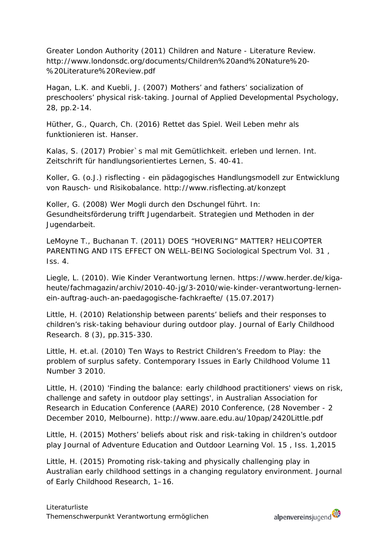Greater London Authority (2011) Children and Nature - Literature Review. [http://www.londonsdc.org/documents/Children%20and%20Nature%20-](http://www.londonsdc.org/documents/Children%20and%20Nature%20-%20Literature%20Review.pdf) [%20Literature%20Review.pdf](http://www.londonsdc.org/documents/Children%20and%20Nature%20-%20Literature%20Review.pdf)

Hagan, L.K. and Kuebli, J. (2007) Mothers' and fathers' socialization of preschoolers' physical risk-taking. Journal of Applied Developmental Psychology, 28, pp.2-14.

Hüther, G., Quarch, Ch. (2016) Rettet das Spiel. Weil Leben mehr als funktionieren ist. Hanser.

Kalas, S. (2017) Probier`s mal mit Gemütlichkeit. erleben und lernen. Int. Zeitschrift für handlungsorientiertes Lernen, S. 40-41.

Koller, G. (o.J.) risflecting - ein pädagogisches Handlungsmodell zur Entwicklung von Rausch- und Risikobalance.<http://www.risflecting.at/konzept>

Koller, G. (2008) Wer Mogli durch den Dschungel führt. In: [Gesundheitsförderung trifft Jugendarbeit.](http://www.fgoe.org/presse-publikationen/downloads/tagungsbande/tagungsband-gesundheitsforderung-und-jugendarbeit/2009-08-28.9359796091) Strategien und Methoden in der Jugendarbeit.

LeMoyne T., Buchanan T. (2011) [DOES "HOVERING" MATTER? HELICOPTER](http://www.tandfonline.com/doi/abs/10.1080/02732173.2011.574038)  [PARENTING AND ITS EFFECT ON WELL-BEING](http://www.tandfonline.com/doi/abs/10.1080/02732173.2011.574038) [Sociological Spectrum V](http://www.tandfonline.com/toc/usls20/31/4)ol. 31, Iss. 4.

Liegle, L. (2010). Wie Kinder Verantwortung lernen. [https://www.herder.de/kiga](https://www.herder.de/kiga-heute/fachmagazin/archiv/2010-40-jg/3-2010/wie-kinder-verantwortung-lernen-ein-auftrag-auch-an-paedagogische-fachkraefte/)[heute/fachmagazin/archiv/2010-40-jg/3-2010/wie-kinder-verantwortung-lernen](https://www.herder.de/kiga-heute/fachmagazin/archiv/2010-40-jg/3-2010/wie-kinder-verantwortung-lernen-ein-auftrag-auch-an-paedagogische-fachkraefte/)[ein-auftrag-auch-an-paedagogische-fachkraefte/](https://www.herder.de/kiga-heute/fachmagazin/archiv/2010-40-jg/3-2010/wie-kinder-verantwortung-lernen-ein-auftrag-auch-an-paedagogische-fachkraefte/) (15.07.2017)

Little, H. (2010) Relationship between parents' beliefs and their responses to children's risk-taking behaviour during outdoor play. Journal of Early Childhood Research. 8 (3), pp.315-330.

Little, H. et.al. (2010) Ten Ways to Restrict Children's Freedom to Play: the problem of surplus safety. Contemporary Issues in Early Childhood Volume 11 Number 3 2010.

Little, H. (2010) 'Finding the balance: early childhood practitioners' views on risk, challenge and safety in outdoor play settings', in Australian Association for Research in Education Conference (AARE) 2010 Conference, (28 November - 2 December 2010, Melbourne).<http://www.aare.edu.au/10pap/2420Little.pdf>

Little, H. (2015) [Mothers' beliefs about risk and risk-taking in children's outdoor](http://www.tandfonline.com/doi/abs/10.1080/14729679.2013.842178)  [play](http://www.tandfonline.com/doi/abs/10.1080/14729679.2013.842178) Journal [of Adventure Education and Outdoor Learning V](http://www.tandfonline.com/toc/raol20/15/1)ol. 15 , Iss. 1,2015

Little, H. (2015) Promoting risk-taking and physically challenging play in Australian early childhood settings in a changing regulatory environment. Journal of Early Childhood Research, 1–16.

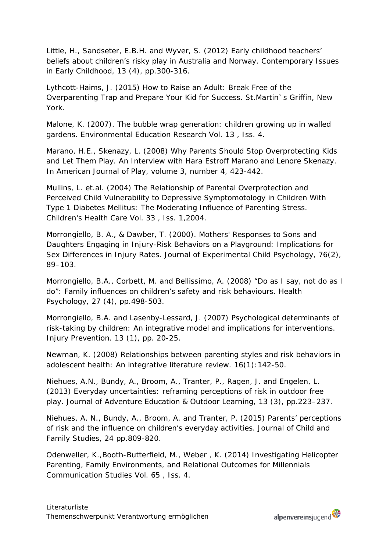Little, H., Sandseter, E.B.H. and Wyver, S. (2012) Early childhood teachers' beliefs about children's risky play in Australia and Norway. Contemporary Issues in Early Childhood, 13 (4), pp.300-316.

Lythcott-Haims, J. (2015) How to Raise an Adult: Break Free of the Overparenting Trap and Prepare Your Kid for Success. St.Martin`s Griffin, New York.

Malone, K. (2007). [The bubble wrap generation: children growing up in walled](http://www.tandfonline.com/doi/abs/10.1080/13504620701581612)  [gardens.](http://www.tandfonline.com/doi/abs/10.1080/13504620701581612) [Environmental Education Research V](http://www.tandfonline.com/toc/ceer20/13/4)ol. 13 , Iss. 4.

Marano, H.E., Skenazy, L. (2008) [Why Parents Should Stop Overprotecting Kids](http://www.journalofplay.org/sites/www.journalofplay.org/files/pdf-articles/3-4-interview-marano-skenazy.pdf)  [and Let Them Play. An Interview with Hara Estroff Marano and Lenore Skenazy.](http://www.journalofplay.org/sites/www.journalofplay.org/files/pdf-articles/3-4-interview-marano-skenazy.pdf) In American Journal of Play, volume 3, number 4, 423-442.

Mullins, L. et.al. (2004) [The Relationship of Parental Overprotection and](http://www.tandfonline.com/doi/abs/10.1207/s15326888chc3301_2)  [Perceived Child Vulnerability to Depressive Symptomotology in Children With](http://www.tandfonline.com/doi/abs/10.1207/s15326888chc3301_2)  [Type 1 Diabetes Mellitus: The Moderating Influence of Parenting Stress.](http://www.tandfonline.com/doi/abs/10.1207/s15326888chc3301_2) [Children's Health Care V](http://www.tandfonline.com/toc/hchc20/33/1)ol. 33 , Iss. 1,2004.

Morrongiello, B. A., & Dawber, T. (2000). Mothers' Responses to Sons and Daughters Engaging in Injury-Risk Behaviors on a Playground: Implications for Sex Differences in Injury Rates. Journal of Experimental Child Psychology, 76(2), 89–103.

Morrongiello, B.A., Corbett, M. and Bellissimo, A. (2008) "Do as I say, not do as I do": Family influences on children's safety and risk behaviours. Health Psychology, 27 (4), pp.498-503.

Morrongiello, B.A. and Lasenby-Lessard, J. (2007) Psychological determinants of risk-taking by children: An integrative model and implications for interventions. Injury Prevention. 13 (1), pp. 20-25.

Newman, K. (2008) Relationships between parenting styles and risk behaviors in adolescent health: An integrative literature review. 16(1):142-50.

Niehues, A.N., Bundy, A., Broom, A., Tranter, P., Ragen, J. and Engelen, L. (2013) Everyday uncertainties: reframing perceptions of risk in outdoor free play. Journal of Adventure Education & Outdoor Learning, 13 (3), pp.223–237.

Niehues, A. N., Bundy, A., Broom, A. and Tranter, P. (2015) Parents' perceptions of risk and the influence on children's everyday activities. Journal of Child and Family Studies, 24 pp.809-820.

Odenweller, K.,Booth-Butterfield, M., Weber , K. (2014) [Investigating Helicopter](http://www.tandfonline.com/doi/abs/10.1080/10510974.2013.811434)  [Parenting, Family Environments, and Relational Outcomes for Millennials](http://www.tandfonline.com/doi/abs/10.1080/10510974.2013.811434) [Communication Studies](http://www.tandfonline.com/toc/rcst20/65/4) Vol. 65 , Iss. 4.

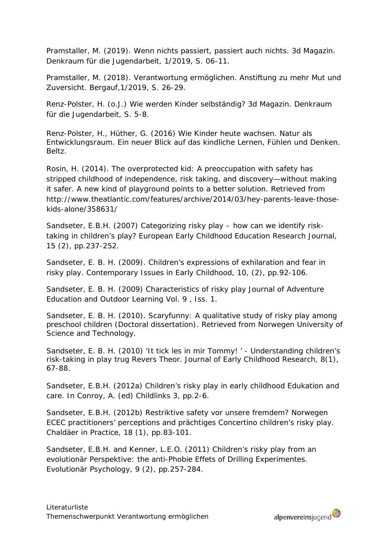Pramstaller, M. (2019). Wenn nichts passiert, passiert auch nichts. 3d Magazin. Denkraum für die Jugendarbeit, 1/2019, S. 06-11.

Pramstaller, M. (2018). Verantwortung ermöglichen. Anstiftung zu mehr Mut und Zuversicht. Bergauf,1/2019, S. 26-29.

Renz-Polster, H. (o.J.) Wie werden Kinder selbständig? 3d Magazin. Denkraum für die Jugendarbeit, S. 5-8.

Renz-Polster, H., Hüther, G. (2016) Wie Kinder heute wachsen. Natur als Entwicklungsraum. Ein neuer Blick auf das kindliche Lernen, Fühlen und Denken. Beltz.

Rosin, H. (2014). The overprotected kid: A preoccupation with safety has stripped childhood of independence, risk taking, and discovery—without making it safer. A new kind of playground points to a better solution. Retrieved from http://www.theatlantic.com/features/archive/2014/03/hey-parents-leave-thosekids-alone/358631/

Sandseter, E.B.H. (2007) Categorizing risky play – how can we identify risktaking in children's play? European Early Childhood Education Research Journal, 15 (2), pp.237-252.

Sandseter, E. B. H. (2009). Children's expressions of exhilaration and fear in risky play. Contemporary Issues in Early Childhood, 10, (2), pp.92-106.

Sandseter, E. B. H. (2009) [Characteristics of risky play](http://www.tandfonline.com/doi/abs/10.1080/14729670802702762) [Journal of Adventure](http://www.tandfonline.com/toc/raol20/9/1)  [Education and Outdoor Learning V](http://www.tandfonline.com/toc/raol20/9/1)ol. 9 , Iss. 1.

Sandseter, E. B. H. (2010). Scaryfunny: A qualitative study of risky play among preschool children (Doctoral dissertation). Retrieved from Norwegen University of Science and Technology.

Sandseter, E. B. H. (2010) 'It tick les in mir Tommy! ' - Understanding children's risk-taking in play trug Revers Theor. Journal of Early Childhood Research, 8(1), 67-88.

Sandseter, E.B.H. (2012a) Children's risky play in early childhood Edukation and care. In Conroy, A. (ed) Childlinks 3, pp.2-6.

Sandseter, E.B.H. (2012b) Restriktive safety vor unsere fremdem? Norwegen ECEC practitioners' perceptions and prächtiges Concertino children's risky play. Chaldäer in Practice, 18 (1), pp.83-101.

Sandseter, E.B.H. and Kenner, L.E.O. (2011) Children's risky play from an evolutionär Perspektive: the anti-Phobie Effets of Drilling Experimentes. Evolutionär Psychology, 9 (2), pp.257-284.

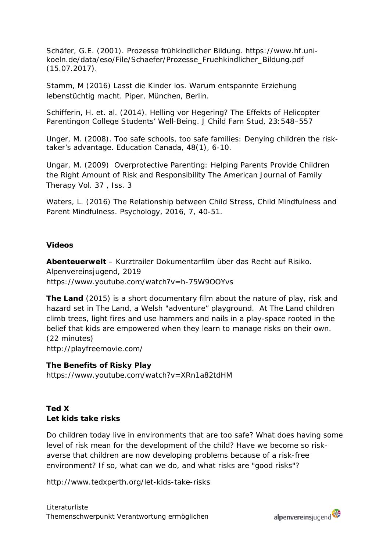Schäfer, G.E. (2001). Prozesse frühkindlicher Bildung. [https://www.hf.uni](https://www.hf.uni-koeln.de/data/eso/File/Schaefer/Prozesse_Fruehkindlicher_Bildung.pdf)[koeln.de/data/eso/File/Schaefer/Prozesse\\_Fruehkindlicher\\_Bildung.pdf](https://www.hf.uni-koeln.de/data/eso/File/Schaefer/Prozesse_Fruehkindlicher_Bildung.pdf) (15.07.2017).

Stamm, M (2016) Lasst die Kinder los. Warum entspannte Erziehung lebenstüchtig macht. Piper, München, Berlin.

Schifferin, H. et. al. (2014). Helling vor Hegering? The Effekts of Helicopter Parentingon College Students' Well-Being. J Child Fam Stud, 23:548–557

Unger, M. (2008). Too safe schools, too safe families: Denying children the risktaker's advantage. Education Canada, 48(1), 6-10.

Ungar, M. (2009) [Overprotective Parenting: Helping Parents Provide Children](http://www.tandfonline.com/doi/abs/10.1080/01926180802534247)  [the Right Amount of Risk and Responsibility](http://www.tandfonline.com/doi/abs/10.1080/01926180802534247) [The American Journal of Family](http://www.tandfonline.com/toc/uaft20/37/3)  [Therapy V](http://www.tandfonline.com/toc/uaft20/37/3)ol. 37 , Iss. 3

Waters, L. (2016) The Relationship between Child Stress, Child Mindfulness and Parent Mindfulness. Psychology, 2016, 7, 40-51.

#### **Videos**

**Abenteuerwelt** – Kurztrailer Dokumentarfilm über das Recht auf Risiko. Alpenvereinsjugend, 2019 <https://www.youtube.com/watch?v=h-75W9OOYvs>

**The Land** (2015) is a short documentary film about the nature of play, risk and hazard set in The Land, a Welsh "adventure" playground. At The Land children climb trees, light fires and use hammers and nails in a play-space rooted in the belief that kids are empowered when they learn to manage risks on their own. (22 minutes) <http://playfreemovie.com/>

#### **The Benefits of Risky Play**

<https://www.youtube.com/watch?v=XRn1a82tdHM>

## **Ted X Let kids take risks**

Do children today live in environments that are too safe? What does having some level of risk mean for the development of the child? Have we become so riskaverse that children are now developing problems because of a risk-free environment? If so, what can we do, and what risks are "good risks"?

<http://www.tedxperth.org/let-kids-take-risks>